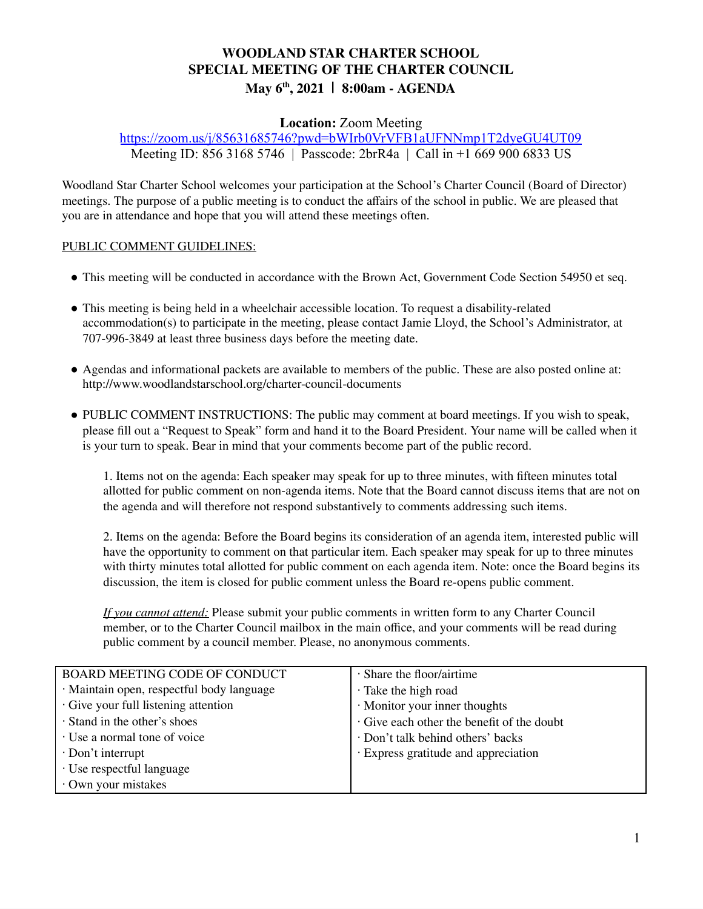# **WOODLAND STAR CHARTER SCHOOL SPECIAL MEETING OF THE CHARTER COUNCIL May 6 th , 2021 | 8:00am - AGENDA**

# **Location:** Zoom Meeting

<https://zoom.us/j/85631685746?pwd=bWIrb0VrVFB1aUFNNmp1T2dyeGU4UT09> Meeting ID: 856 3168 5746 | Passcode: 2brR4a | Call in +1 669 900 6833 US

Woodland Star Charter School welcomes your participation at the School's Charter Council (Board of Director) meetings. The purpose of a public meeting is to conduct the affairs of the school in public. We are pleased that you are in attendance and hope that you will attend these meetings often.

## PUBLIC COMMENT GUIDELINES:

- This meeting will be conducted in accordance with the Brown Act, Government Code Section 54950 et seq.
- This meeting is being held in a wheelchair accessible location. To request a disability-related accommodation(s) to participate in the meeting, please contact Jamie Lloyd, the School's Administrator, at 707-996-3849 at least three business days before the meeting date.
- Agendas and informational packets are available to members of the public. These are also posted online at: http://www.woodlandstarschool.org/charter-council-documents
- PUBLIC COMMENT INSTRUCTIONS: The public may comment at board meetings. If you wish to speak, please fill out a "Request to Speak" form and hand it to the Board President. Your name will be called when it is your turn to speak. Bear in mind that your comments become part of the public record.

1. Items not on the agenda: Each speaker may speak for up to three minutes, with fifteen minutes total allotted for public comment on non-agenda items. Note that the Board cannot discuss items that are not on the agenda and will therefore not respond substantively to comments addressing such items.

2. Items on the agenda: Before the Board begins its consideration of an agenda item, interested public will have the opportunity to comment on that particular item. Each speaker may speak for up to three minutes with thirty minutes total allotted for public comment on each agenda item. Note: once the Board begins its discussion, the item is closed for public comment unless the Board re-opens public comment.

*If you cannot attend:* Please submit your public comments in written form to any Charter Council member, or to the Charter Council mailbox in the main office, and your comments will be read during public comment by a council member. Please, no anonymous comments.

| <b>BOARD MEETING CODE OF CONDUCT</b>      | · Share the floor/airtime                |  |  |
|-------------------------------------------|------------------------------------------|--|--|
| · Maintain open, respectful body language | · Take the high road                     |  |  |
| Give your full listening attention        | · Monitor your inner thoughts            |  |  |
| · Stand in the other's shoes              | Give each other the benefit of the doubt |  |  |
| · Use a normal tone of voice              | Don't talk behind others' backs          |  |  |
| $\cdot$ Don't interrupt                   | · Express gratitude and appreciation     |  |  |
| · Use respectful language                 |                                          |  |  |
| · Own your mistakes                       |                                          |  |  |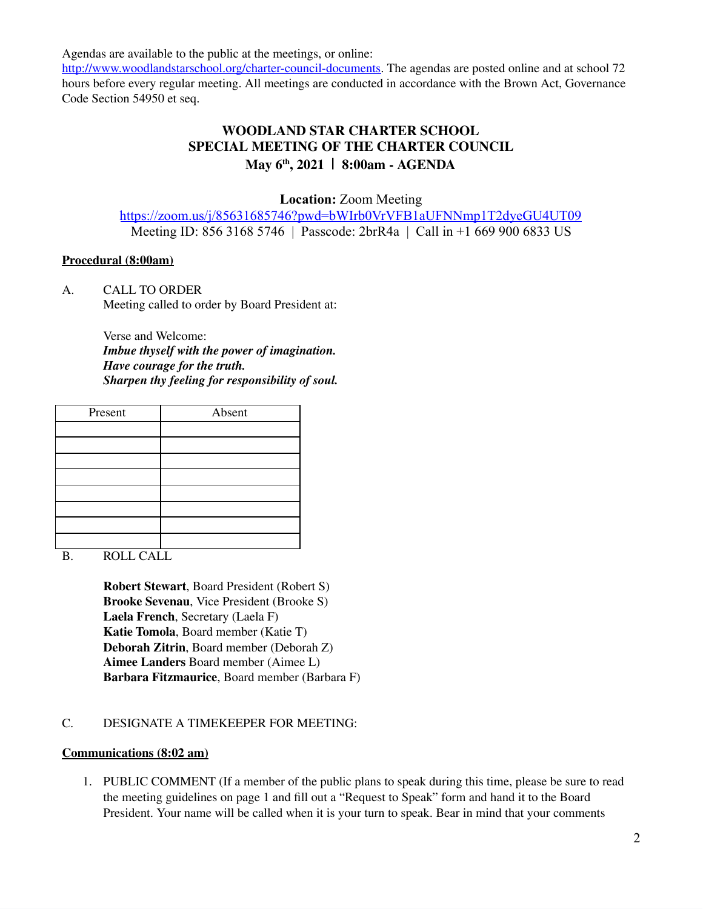Agendas are available to the public at the meetings, or online:

[http://www.woodlandstarschool.org/charter-council-documents.](http://www.woodlandstarschool.org/charter-council-documents) The agendas are posted online and at school 72 hours before every regular meeting. All meetings are conducted in accordance with the Brown Act, Governance Code Section 54950 et seq.

# **WOODLAND STAR CHARTER SCHOOL SPECIAL MEETING OF THE CHARTER COUNCIL May 6 th , 2021 | 8:00am - AGENDA**

**Location:** Zoom Meeting

<https://zoom.us/j/85631685746?pwd=bWIrb0VrVFB1aUFNNmp1T2dyeGU4UT09> Meeting ID: 856 3168 5746 | Passcode: 2brR4a | Call in +1 669 900 6833 US

## **Procedural (8:00am)**

A. CALL TO ORDER Meeting called to order by Board President at:

> Verse and Welcome: *Imbue thyself with the power of imagination. Have courage for the truth. Sharpen thy feeling for responsibility of soul.*

| Present | Absent |
|---------|--------|
|         |        |
|         |        |
|         |        |
|         |        |
|         |        |
|         |        |
|         |        |
|         |        |

B. ROLL CALL

**Robert Stewart**, Board President (Robert S) **Brooke Sevenau**, Vice President (Brooke S) **Laela French**, Secretary (Laela F) **Katie Tomola**, Board member (Katie T) **Deborah Zitrin**, Board member (Deborah Z) **Aimee Landers** Board member (Aimee L) **Barbara Fitzmaurice**, Board member (Barbara F)

# C. DESIGNATE A TIMEKEEPER FOR MEETING:

## **Communications (8:02 am)**

1. PUBLIC COMMENT (If a member of the public plans to speak during this time, please be sure to read the meeting guidelines on page 1 and fill out a "Request to Speak" form and hand it to the Board President. Your name will be called when it is your turn to speak. Bear in mind that your comments